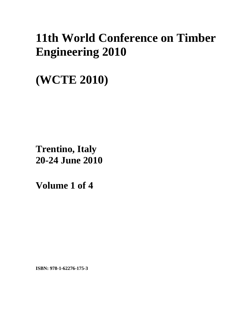# **11th World Conference on Timber Engineering 2010**

**(WCTE 2010)** 

**Trentino, Italy 20-24 June 2010**

**Volume 1 of 4** 

**ISBN: 978-1-62276-175-3**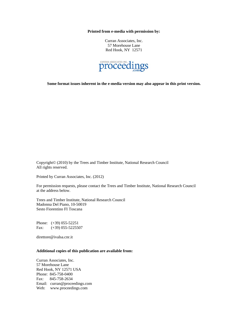**Printed from e-media with permission by:** 

Curran Associates, Inc. 57 Morehouse Lane Red Hook, NY 12571



**Some format issues inherent in the e-media version may also appear in this print version.** 

Copyright© (2010) by the Trees and Timber Institute, National Research Council All rights reserved.

Printed by Curran Associates, Inc. (2012)

For permission requests, please contact the Trees and Timber Institute, National Research Council at the address below.

Trees and Timber Institute, National Research Council Madonna Del Piano, 10-50019 Sesto Fiorentino FI Toscana

Phone: (+39) 055-52251 Fax: (+39) 055-5225507

direttore@ivalsa.cnr.it

### **Additional copies of this publication are available from:**

Curran Associates, Inc. 57 Morehouse Lane Red Hook, NY 12571 USA Phone: 845-758-0400 Fax: 845-758-2634 Email: curran@proceedings.com Web: www.proceedings.com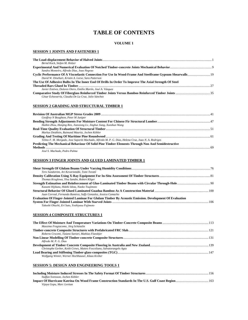# **TABLE OF CONTENTS**

#### **VOLUME 1**

#### **SESSION 1 JOINTS AND FASTENERS 1**

| Bernd Kock, Stefan M. Holzer                                                                         |      |
|------------------------------------------------------------------------------------------------------|------|
|                                                                                                      |      |
| Sandra Monteiro, Alfredo Dias, Joao Negrao                                                           |      |
| David W. Dinehart, Kristin A. Leese, Sara Patterson                                                  |      |
| The Use Of Adhesive Bulbs In The Inner End Of Drills In Order To Improve The Axial Strength Of Steel |      |
|                                                                                                      | - 27 |
| Javier Estévez, Dolores Otero, Emilio Martín, José A. Vázquez                                        |      |
|                                                                                                      |      |
| César Echavarría, Claudia De La Cruz, Julio Sánchez                                                  |      |

#### **SESSION 2 GRADING AND STRUCTURAL TIMBER 1**

| Geoffrey N Boughton, Peter M Juniper                                                                |  |
|-----------------------------------------------------------------------------------------------------|--|
|                                                                                                     |  |
| Haibin Zhou, Haiqing Ren, Jianxiong Lv, Jinghui Jiang, Xunshun Wang                                 |  |
|                                                                                                     |  |
| Markus Deublein, Raimund Mauritz, Jochen Köhler                                                     |  |
|                                                                                                     |  |
| Telmo F. M. Morgado, Jose Saporiti Machado, Alfredo M. P. G. Dias, Helena Cruz, Joao N. A. Rodriges |  |
| Predicting The Mechanical Behaviour Of Solid Pine Timber Elements Through Non And Semidestructive   |  |
|                                                                                                     |  |
| $I \sim \ell$ $C \cdot M \sim L \cdot L \cdot D \cdot L \cdot D \cdot L \cdot L$                    |  |

*José S. Machado, Pedro Palma* 

#### **SESSION 3 FINGER JOINTS AND GLUED LAMINATED TIMBER 1**

| Tero Sundström, Ari Kevarinmäki, Tomi Toratti                                                          |  |
|--------------------------------------------------------------------------------------------------------|--|
|                                                                                                        |  |
| Thomas Kruglowa, Ylva Sandin, Robert Kliger                                                            |  |
|                                                                                                        |  |
| Kazumi Hijikata, Hideki Idota, Naoko Tsujimoto                                                         |  |
|                                                                                                        |  |
| Juan Correal, Fernando Ramirez, Soffy Gonzalez, Jessica Camacho                                        |  |
| Evaluation Of Finger-Jointed Laminae For Glulam Timber By Acoustic Emission. Development Of Evaluation |  |
|                                                                                                        |  |
| Takeshi Ohuchi, Eri Sato, Yoshiyasu Fujimoto                                                           |  |

#### **SESSION 4 COMPOSITE STRUCTURES 1**

| Massimo Fragiacomo, Jörg Schänzlin                                     |  |
|------------------------------------------------------------------------|--|
|                                                                        |  |
| Roberto Crocetti, Tiziano Sartori, Mathias Flansbjer                   |  |
|                                                                        |  |
| Alfredo M. P. G. Dias                                                  |  |
|                                                                        |  |
| Christophe Gerber, Keith Crews, Matteo Foscoliano, Salvatorangelo Agus |  |
|                                                                        |  |
| Wolfgang Winter, Werner Hochhauser, Klaus Kreher                       |  |

#### **SESSION 5: DESIGN AND ENGINEERING TOOLS 1**

| Staffan Svensson, Jochen Köhler |  |
|---------------------------------|--|
|                                 |  |
| Vijaya Gopu, Marc Levitan       |  |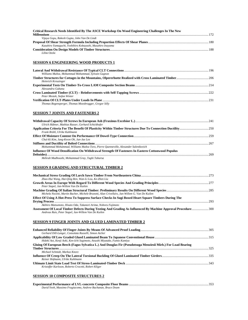| Critical Research Needs Identified By The ASCE Workshop On Wood Engineering Challenges In The New |     |
|---------------------------------------------------------------------------------------------------|-----|
|                                                                                                   | 172 |
| Vijaya Gopu, Rakesh Gupta, John Van De Lindt                                                      |     |
|                                                                                                   |     |
| Kazuhiro Yamaguchi, Yoshihiro Kobayashi, Masahiro Inayama                                         |     |
|                                                                                                   |     |
| Lilita Ozola                                                                                      |     |

### **SESSION 6 ENGINEERING WOOD PRODUCTS 1**

| Williams Muñoz, Mohammad Mohammad, Sylvain Gagnon     |  |
|-------------------------------------------------------|--|
|                                                       |  |
| Heinrich Kreuzinger                                   |  |
|                                                       |  |
| Alessandra Gubana                                     |  |
|                                                       |  |
| Peter Mestek, Stefan Winter                           |  |
|                                                       |  |
| Thomas Bogensperger, Thomas Moosbrugger, Gregor Silly |  |

### **SESSION 7 JOINTS AND FASTENERS 2**

| Ulrich Hübner, Mathias Rasser, Gerhard Schickhofer                                                |  |
|---------------------------------------------------------------------------------------------------|--|
| Frank Brühl, Ulrike Kuhlmann                                                                      |  |
|                                                                                                   |  |
| Chul-Ki Kim, Jung-Kwon Oh, Jun-Jae Lee                                                            |  |
|                                                                                                   |  |
| Mohammad Mohammad, Williams Muñoz Toro, Pierre Ouenneville, Alexander Salenikovich                |  |
| Influence Of Wood Densification On Withdrawal Strength Of Fasteners In Eastern Cottonwood Populus |  |
|                                                                                                   |  |
| Mehrab Madhoushi, Mohammad Gray, Taghi Tabarsa                                                    |  |

### **SESSION 8 GRADING AND STRUCTURAL TIMBER 2**

| Zhao-Hui Wang, Hai-Oing Ren, Wan-Li Lou, Ke-Zhen Liu                                                         |      |
|--------------------------------------------------------------------------------------------------------------|------|
|                                                                                                              |      |
| Peter Stapel, Jan-Willem Van De Kuilen                                                                       |      |
|                                                                                                              |      |
| Michela Nocetti, Martin Bacher, Michele Brunetti, Alan Crivellaro, Jan-Willem G. Van De Kuilen               |      |
| Effect Of Using A Hot-Press To Suppress Surface Checks In Sugi Boxed Heart Square Timbers During The         |      |
|                                                                                                              | -293 |
| Akihiro Matsumoto, Hisato Oda, Takanori Arima, Noboru Fujimoto                                               |      |
| Assessment Of Local Timber Defects During Testing And Grading As Influenced By Machine Approval Procedure300 |      |
| Andreas Rais, Peter Stapel, Jan-Willem Van De Kuilen                                                         |      |

# **SESSION 9 FINGER JOINTS AND GLUED LAMINATED TIMBER 2**

| Gerhard Dill-Langer, Consolata Russelli, Simon Aicher                                                        |      |
|--------------------------------------------------------------------------------------------------------------|------|
| Hideki Aoi, Kenji Aoki, Ken-Ichi Sugimoto, Atsushi Miyatake, Fumio Kamiya                                    |      |
| Gluing Of European Beech (Fagus Sylvatica L.) And Douglas Fir (Pseudotsuga Menziesii Mirb.) For Load Bearing | -325 |
| Michael Schmidt, Markus Knorz                                                                                |      |
| Reiner Hofmann, Ulrike Kuhlmann                                                                              |      |
| Kristoffer Karlsson, Roberto Crocetti, Robert Kliger                                                         |      |

# **SESSION 10 COMPOSITE STRUCTURES 2**

| David Yeoh, Massimo Fragiacomo, Andrew Buchanan, Bruce Deam |  |
|-------------------------------------------------------------|--|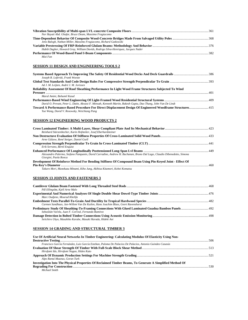| Nor Hayati Abd. Ghafar, Bruce Deam, Massimo Fragiacomo                            |  |
|-----------------------------------------------------------------------------------|--|
|                                                                                   |  |
| Jeno Balogh, Nathan Miller, Massimo Fragiacomo, Richard Gutkowski                 |  |
|                                                                                   |  |
| Habib Dagher, Howard Gray, William Davids, Rodrigo Silva-Henriquez, Jacques Nader |  |
|                                                                                   |  |
| Mizi Fan                                                                          |  |

#### **SESSION 11 DESIGN AND ENGINEERING TOOLS 2**

| Joseph R. Loferski, Frank Woeste                                                                                                                          |  |
|-----------------------------------------------------------------------------------------------------------------------------------------------------------|--|
| Ad J. M. Leijten, André J. M. Jorissen                                                                                                                    |  |
| Reliability Assessment Of Roof Sheathing Performance In Light Wood Frame Structures Subjected To Wind                                                     |  |
|                                                                                                                                                           |  |
| Maral Amini, Bohumil Kasal                                                                                                                                |  |
|                                                                                                                                                           |  |
| David O. Prevatt, Peter L. Datin, Akwasi F. Mensah, Kenneth Martin, Rakesh Gupta, Dao Thang, John Van De Lindt                                            |  |
| Toward A Performance-Based Procedure For Direct Displacement Design Of Engineered Woodframe Structures 415<br>Yue Wang, David V. Rosowsky, Weichiang Pang |  |

#### **SESSION 12 ENGINEERING WOOD PRODUCTS 2**

| Reinhard Stürzenbecher, Karin Hofstetter, Josef Eberhardsteiner                                                                                 |  |
|-------------------------------------------------------------------------------------------------------------------------------------------------|--|
|                                                                                                                                                 |  |
| Arne Gülzow, René Steiger, Daniel Gsell                                                                                                         |  |
|                                                                                                                                                 |  |
| Erik Serrano, Bertil Enquist                                                                                                                    |  |
|                                                                                                                                                 |  |
| Alessandro Palermo, Stefano Pampanin, David Carradine, Andrew H. Buchanan, Bruno Dal Lago, Claudio Dibenedetto, Simona<br>Giorgini, Paola Ronca |  |
| Development Of Reinforce Method For Bending Stiffness Of Compound Beam Using Pin-Keved Joint - Effect Of                                        |  |
|                                                                                                                                                 |  |

*Takuro Mori, Munekazu Minami, Kiho Jung, Akihisa Kitamori, Kohei Komatsu* 

#### **SESSION 13 JOINTS AND FASTENERS 3**

| Pål Ellingsbø, Kjell Arne Malo                                                   |  |
|----------------------------------------------------------------------------------|--|
|                                                                                  |  |
| Marc Oudjene, Mourad Khelifa                                                     |  |
|                                                                                  |  |
| Carmen Sandhaas, Jan-Willem Van De Kuilen, Hans Joachim Blass, Geert Ravenshorst |  |
|                                                                                  |  |
| Sebastián Varela, Juan F. Correal, Fernando Ramírez                              |  |
|                                                                                  |  |
| Seiichiro Ukyo, Masahiko Karube, Masaki Harada, Hideki Aoi                       |  |

#### **SESSION 14 GRADING AND STRUCTURAL TIMBER 3**

| Use Of Artificial Neural Networks In Timber Engineering: Calculating Modulus Of Elasticity Using Non-    |  |
|----------------------------------------------------------------------------------------------------------|--|
|                                                                                                          |  |
| Francisco García Fernández, Luis García Esteban, Paloma De Palacios De Palacios, Antonio Guindeo Casasús |  |
|                                                                                                          |  |
| Hirofumi Ido, Hirofumi Nagao, Hideo Kato                                                                 |  |
|                                                                                                          |  |
| Alpo Ranta-Maunus, Goran Turk                                                                            |  |
| Investigation Into The Physical Properties Of Reclaimed Timber Beams, To Generate A Simplified Method Of |  |
|                                                                                                          |  |
| Michael Smith                                                                                            |  |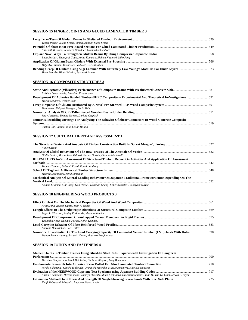#### **SESSION 15 FINGER JOINTS AND GLUED LAMINATED TIMBER 3**

| Tomaž Pazlar, Jelena Srpcic, Simon Schnabl, Stane Srpcic                |  |
|-------------------------------------------------------------------------|--|
|                                                                         |  |
| Elisabeth Kastner, Reinhard Brandner, Gerhard Schickhofer               |  |
|                                                                         |  |
| Buan Anshari, Zhongwei Guan, Kohei Komatsu, Akihisa Kitamori, Kiho Jung |  |
|                                                                         |  |
| Miljenko Haiman, Krunoslav Pavkovic, Boris Baljkas                      |  |
|                                                                         |  |
| Shiro Aratake, Hideki Morita, Takanori Arima                            |  |

#### **SESSION 16 COMPOSITE STRUCTURES 3**

| Elzbieta Lukaszewska, Massimo Fragiacomo                                                              |  |
|-------------------------------------------------------------------------------------------------------|--|
|                                                                                                       |  |
| Martin Schäfers, Werner Seim                                                                          |  |
|                                                                                                       |  |
| Mohammad Yahyaei Moayyed, Farid Taheri                                                                |  |
|                                                                                                       |  |
| Jerzy Jasienko, Tomasz Nowak, Dariusz Czepizak                                                        |  |
| Numerical Modeling Strategy For Analyzing The Behavior Of Shear Connectors In Wood-Concrete Composite |  |
|                                                                                                       |  |
| Carlito Calil Junior, Julio Cesar Molina                                                              |  |
|                                                                                                       |  |

#### **SESSION 17 CULTURAL HERITAGE ASSESSMENT 1**

| Nimet Oztank                                                                                              |  |
|-----------------------------------------------------------------------------------------------------------|--|
| Giulia Bettiol, Maria Rosa Valluzzi, Enrico Garbin, Claudio Menichelli                                    |  |
| RILEM TC 215 In-Situ Assessment Of Structural Timber: Report On Activities And Application Of Assessment  |  |
|                                                                                                           |  |
| Thomas Tannert, Bohumil Kasal, Ronald Anthony                                                             |  |
| Mehrab Madhoushi, Javid Eimanian                                                                          |  |
| Mechanical Analysis Of Lateral Loading Behaviour On Japanese Tradiotinal Frame Structure Depending On The |  |
|                                                                                                           |  |
| Akihisa Kitamor, Kiho Jung, Ivon Hassel, Wenshao Chang, Kohei Komatsu, Yoshiyuki Suzuki                   |  |

#### **SESSION 18 ENGINEERING WOOD PRODUCTS 3**

| Arijit Sinha, Rakesh Gupta, John A. Nairn              |  |
|--------------------------------------------------------|--|
|                                                        |  |
| Peggi L. Clouston, Sanjay R. Arwade, Meghan Krupka     |  |
|                                                        |  |
| Yasunobu Noda, Naoyuki Furuta, Kohei Komatsu           |  |
|                                                        |  |
| Andreas Heiduschke, Peer Haller                        |  |
|                                                        |  |
| Manoochehr Ardalany, Bruce L. Deam, Massimo Fragiacomo |  |

#### **SESSION 19 JOINTS AND FASTENERS 4**

| Moment Joints In Timber Frames Using Glued-In Steel Rods: Experimental Investigation Of Longterm                          |  |
|---------------------------------------------------------------------------------------------------------------------------|--|
|                                                                                                                           |  |
| Massimo Fragiacomo, Mark Batchelar, Chris Wallington, Andy Buchanan                                                       |  |
|                                                                                                                           |  |
| Hiroki Fukazawa, Keiichi Tsubouchi, Jyunnichi Motooka, Mutsuo Amemiya, Hiroyuki Noguchi                                   |  |
|                                                                                                                           |  |
| Kazuki Tachibana, Hiroshi Isoda, Tomoya Okazaki, Mikio Koshihara, Hidemaru Shimizu, John W. Van De Lindt, Steven E. Pryor |  |
|                                                                                                                           |  |
| Kenji Kobayashi, Masahiro Inayama, Naoto Ando                                                                             |  |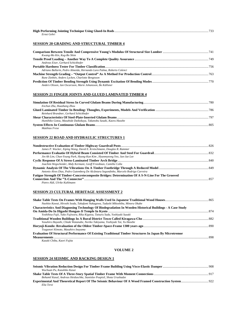| Ernst Gehri |  |
|-------------|--|

### **SESSION 20 GRADING AND STRUCTURAL TIMBER 4**

| Kwang-Mo Kin, Kug-Bo Shim                                             |  |
|-----------------------------------------------------------------------|--|
|                                                                       |  |
| Andreas Eiser, Gerhard Schickhofer                                    |  |
|                                                                       |  |
| Adriano Ballarin, Pedro Almeida, Hernando Lara Palma, Roberto Colenci |  |
|                                                                       |  |
| Rune Ziethén, Anders Lycken, Charlotte Bengtsson                      |  |
|                                                                       |  |
| Anders Olsson, Jan Oscarsson, Marie Johansson, Bo Källsner            |  |

#### **SESSION 21 FINGER JOINTS AND GLUED LAMINATED TIMBER 4**

| Enchun Zhu, Huazhang Zhou                                         |  |
|-------------------------------------------------------------------|--|
|                                                                   |  |
| Reinhard Brandner, Gerhard Schickhofer                            |  |
|                                                                   |  |
| Humihiko Gotou, Masahide Daikokuya, Takanobu Sasaki, Kaoru Hasebe |  |
|                                                                   |  |
| Matthias Frese                                                    |  |

#### **SESSION 22 ROAD AND HYDRAULIC STRUCTURES 1**

| James P. Wacker, Xiping Wang, David E. Kretschmann, Douglas R. Rammer                             |  |
|---------------------------------------------------------------------------------------------------|--|
|                                                                                                   |  |
| Jin-Ah Lim, Chun-Young Park, Hyung-Kun Kim, Hyanmyeong Yeo, Jun-Jae Lee                           |  |
|                                                                                                   |  |
| Joachim Wegscheider, Abdy Kermani, Geoff Freedman, Camilla Colla                                  |  |
|                                                                                                   |  |
| Antonio Alves Dias, Pedro Gutemberg De Alcântara Segundinho, Marcelo Rodrigo Carreira             |  |
| Fatigue Strength Of Timber-Concretecomposite Bridges: Determination Of A S-N-Line For The Grooved |  |
|                                                                                                   |  |
| Pietro Aldi, Ulrike Kuhlmann                                                                      |  |

#### **SESSION 23 CULTURAL HERITAGE ASSESSMENT 2**

| Naohito Kawai, Hiroshi Isoda, Takafumi Nakagawa, Tadashi Mikoshiba, Minoru Okabe                          |  |
|-----------------------------------------------------------------------------------------------------------|--|
| Characteristics And Diagnosing Technology Of Biodegradation In Wooden Historical Buildings - A Case Study |  |
|                                                                                                           |  |
| Yoshihisa Fujii, Yuko Fujiwara, Rika Kigawa, Tatsuru Suda, Yoshiyuki Suzuki                               |  |
|                                                                                                           |  |
| Yasuhiro Hayashi, Chiaki Watanabe, Noriko Takiyama, Toshiyuki Tai, Yu Hasebe                              |  |
|                                                                                                           |  |
| Tsugunori Kimoto, Masahiro Inayama                                                                        |  |
| Evaluation Of Structural Performance Of Existing Traditional Timber Structures In Japan By Microtremor    |  |
|                                                                                                           |  |
| $\boldsymbol{V}$ amiki Chiba. $\boldsymbol{V}$ aomi Euitta.                                               |  |

*Kazuki Chiba, Kaori Fujita* 

#### **VOLUME 2**

#### **SESSION 24 SEISMIC AND RACKING DESIGN 1**

| Wuchuan Pu, Kazuhiko Kasai                                             |  |
|------------------------------------------------------------------------|--|
|                                                                        |  |
| Bohumil Kasal, Andreas Heiduschke, Stanislav Pospisil, Shota Urushadze |  |
|                                                                        |  |
| Elia Terzi                                                             |  |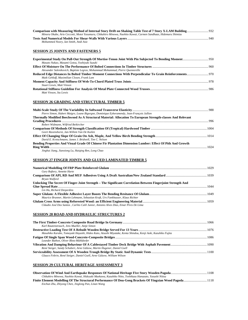| Minoru Okabe, Ario Ceccotti, Motoi Yasumura, Chikahiro Minowa, Naohito Kawai, Carmen Sandhaas, Hidemaru Shimizu |  |
|-----------------------------------------------------------------------------------------------------------------|--|
|                                                                                                                 |  |
| Mohammed Noory, Ian Smith, Andi Asiz                                                                            |  |

#### **SESSION 25 JOINTS AND FASTENERS 5**

| Masato Nakao, Masami Gotou, Yoshiyuki Suzuki                                   |  |
|--------------------------------------------------------------------------------|--|
|                                                                                |  |
| Alexander Salenikovich, Baptiste Legras, Mohammad Mohammad, Pierre Ouenneville |  |
|                                                                                |  |
| Maik Gehloff, Maximilian Closen, Frank Lam                                     |  |
|                                                                                |  |
| <b>Stuart Lewis, Matt Vinson</b>                                               |  |
|                                                                                |  |
| Matt Vinson, Stu Lewis                                                         |  |

#### **SESSION 26 GRADING AND STRUCTURAL TIMBER 5**

| Pierre Simon, Hubert Maigre, Loane Bigorgne, Dominique Eyheramendy, Jean-Francois Jullien                   |  |
|-------------------------------------------------------------------------------------------------------------|--|
| Thermally Modified Beechwood As A Structural Material: Allocation To European Strength-classes And Relevant |  |
|                                                                                                             |  |
| Robert Widmann, Wilfried Beikircher                                                                         |  |
| Geert Ravenshorst, Jan-Willem Van De Kuilen                                                                 |  |
|                                                                                                             |  |
| David E. Kretschmann, James J. Bridwell, Tim C. Nelson                                                      |  |
| Bending Properties And Visual Grade Of Chinese Fir Plantation Dimension Lumber: Effect Of Pith And Growth   |  |
|                                                                                                             |  |
| Jinghui Jiang, Jianxiong Lu, Haiging Ren, Long Chao                                                         |  |

#### **SESSION 27 FINGER JOINTS AND GLUED LAMINATED TIMBER 5**

| Gary Raftery, Annette Harte                                                                                  |  |
|--------------------------------------------------------------------------------------------------------------|--|
| Brvan Walford                                                                                                |  |
| Unlocking The Secret Of Finger-Joint Strength - The Significant Correlation Between Fingerjoint Strength And |  |
|                                                                                                              |  |
| Lin Hu, Richard Desjardins                                                                                   |  |
|                                                                                                              |  |
| Maurice Brunner, Martin Lehmann, Sebastian Kraft, Urs Fankhauser, Klaus Richter                              |  |
|                                                                                                              |  |
| Cláudio José Dos Santos, Carlito Calil Junior, Antonio Alves Dias, Einar Pires De Lima                       |  |

#### **SESSION 28 ROAD AND HYDRAULIC STRUCTURES 2**

| Karl Rautenstrauch, Jens Mueller, Antie Simon                                                               |  |
|-------------------------------------------------------------------------------------------------------------|--|
|                                                                                                             |  |
| Masahiko Karube, Tomoyuki Hayashi, Hideo Kato, Atsushi Miyatake, Kenta Shindou, Kenji Aoki, Kazuhiko Fujita |  |
|                                                                                                             |  |
| Leander Bathon, Oliver Bletz-Mühldorfer                                                                     |  |
|                                                                                                             |  |
| René Steiger, Sandy Schubert, Arne Gülzow, Martin Hugener, Daniel Gsell                                     |  |
|                                                                                                             |  |
| Glauco Feltrin, René Steiger, Daniel Gsell, Arne Gülzow, William Wilson                                     |  |

#### **SESSION 29 CULTURAL HERITAGE ASSESSMENT 3**

| Chikahiro Minowa, Naohito Kawai, Hideyuki Maekawa, Kazuhiko Nitto, Toshikazu Hanazato, Yasushi Niitsu |  |
|-------------------------------------------------------------------------------------------------------|--|
|                                                                                                       |  |
| Enchun Zhu, Zhiyong Chen, Jinglong Pan, Linan Wang                                                    |  |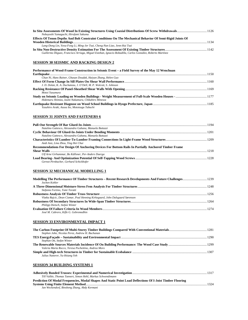| Nobuyoshi Yamaguchi, Hirofumi Sakuma                                                                       |  |
|------------------------------------------------------------------------------------------------------------|--|
| Effects Of Tenon Depths And Bolt Constraint Conditions On The Mechanical Behavior Of Semi-Rigid Joints Of  |  |
|                                                                                                            |  |
| Lang-Dong Lin, Yeou-Fong Li, Ming-Jer Tsai, Cheng-Nan Liao, Jenn-Hui Tsai                                  |  |
|                                                                                                            |  |
| Guillermo Íñiguez, Francisco Arriaga, Miguel Esteban, Ignacio Bobadilla, Carlos González, Roberto Martínez |  |

### **SESSION 30 SEISMIC AND RACKING DESIGN 2**

| Performance of Wood-Frame Construction in Seismic Event – a Field Survey of the May 12 Wenchuan |  |
|-------------------------------------------------------------------------------------------------|--|
|                                                                                                 |  |
| Chun Ni, Hans Rainer, Ghasan Doudak, Haiyan Zhang, Helen Guo                                    |  |
|                                                                                                 |  |
| J. D. Dolan, K. A. Duchateau, J. O'Dell, M. P. Wolcott, S. Johnson                              |  |
|                                                                                                 |  |
| Motoi Yasumura                                                                                  |  |
|                                                                                                 |  |
| Hidemaru Shimizu, Izumi Nakamura, Chikahiro Minowa                                              |  |
|                                                                                                 |  |
| Yasuhiro Araki, Azusa Ito, Mototsugu Tabuchi                                                    |  |

### **SESSION 31 JOINTS AND FASTENERS 6**

| Natalino Gattesco, Alessandra Gubana, Manuela Buttazzi                                              |  |
|-----------------------------------------------------------------------------------------------------|--|
|                                                                                                     |  |
| Natalino Gattesco, Alessandra Gubana, Manuela Buttazzi                                              |  |
|                                                                                                     |  |
| Andi Asiz, Lina Zhou, Ying Hei Chui                                                                 |  |
| Recommendations For Design Of Anchoring Devices For Bottom Rails In Partially Anchored Timber Frame |  |
|                                                                                                     |  |
| Ulf Arne Girhammar, Bo Källsner, Per-Anders Daerga                                                  |  |
|                                                                                                     |  |
| Gernot Pirnbacher, Gerhard Schickhofer                                                              |  |

### **SESSION 32 MECHANICAL MODELLING 1**

| Jochen Kohler                                                                |  |
|------------------------------------------------------------------------------|--|
|                                                                              |  |
| Stefania Fortino, Tomi Toratti                                               |  |
|                                                                              |  |
| Vlatka Rajcic, Dean Cizmar, Poul Henning Kirkegaard, John Dalsgaard Sørensen |  |
|                                                                              |  |
| Philipp Dietsch, Stefan Winter                                               |  |
|                                                                              |  |
| José M. Cabrero. Kifle G. Gebremedhin                                        |  |

#### **SESSION 33 ENVIRONMENTAL IMPACT 1**

| Stephen John, Nicolas Perez, Andrew H. Buchanan     |  |
|-----------------------------------------------------|--|
|                                                     |  |
| Stephan Ott, Stefan Winter                          |  |
|                                                     |  |
| Valeria Marta Rocco, Teresa Pochettino, Andrea Moro |  |
| Julius Natterer, Yu-Hsiang Yeh                      |  |

#### **SESSION 34 BUILDING SYSTEMS 1**

| Till Vallée, Thomas Tannert, Simon Hehl, Markus Schwendimann                                               |      |
|------------------------------------------------------------------------------------------------------------|------|
| Prediction Of Modal Frequencies, Modal Shapes And Static Point Load Deflections Of I-Joist Timber Flooring |      |
|                                                                                                            | 1324 |
| Jan Weckendorf, Binsheng Zhang, Abdy Kermani                                                               |      |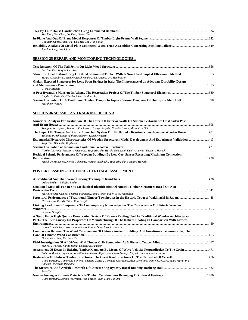|                                                     | 1334 |
|-----------------------------------------------------|------|
| Yan Xiao, Guo Chen, Bo Shan, Liyong She             |      |
|                                                     |      |
| Gopinath Gupta, Andi Asiz, Ying-Hei Chui, Ian Smith |      |
|                                                     |      |
| Xiaobin Song, Frank Lam                             |      |

### **SESSION 35 REPAIR AND MONITORING TECHNOLOGIES 1**

| Liu Yan, Zou-Xiaojin, Guo Yun                                                                             |  |
|-----------------------------------------------------------------------------------------------------------|--|
| Sergio J. Sanabria, Juerg Neuenschwander, Peter Niemz, Urs Sennhauser                                     |  |
| Glulam Exposed Structures for Long Span Bridges in Italy: The Importance of an Adequate Durability Design |  |
| Giorgio Bignotti                                                                                          |  |
| Eleftheria Tsakanika-Theohari, Harris Mouzakis<br>Masahiro Watabe                                         |  |

### **SESSION 36 SEISMIC AND RACKING DESIGN 3**

| Numerical Analysis For Evaluation Of The Effect Of Exterior Walls On Seismic Performance Of Wooden Post-        |  |
|-----------------------------------------------------------------------------------------------------------------|--|
|                                                                                                                 |  |
| Takafumi Nakagawa, Takahiro Tsuchimoto, Tatsuya Miyake, Naohito Kawai, Masamitsu Ohta                           |  |
| 1407 The Impact Of Tongue And Gulls Connection System For Earthquake Resistance For Javanese Wooden House  1407 |  |
| Yulianto P Prihatmaji, Akihisa Kitamori, Kohei Komatsu                                                          |  |
| Exponential Hysteretic Characteristics Of Wooden Structures: Model Development And Experiment Validation  1413  |  |
| Ying Gao, Hisamitsu Kajikawa                                                                                    |  |
|                                                                                                                 |  |
| Noriko Takiyama, Mitsuhiro Miyamoto, Yugo Ishizuka, Haruki Takahashi, Dyah Arnawati, Yasuhiro Hayashi           |  |
| Residual Seismic Performance Of Wooden Buildings By Low Cost Sensor Recording Maximum Connection                |  |
|                                                                                                                 |  |
| Mitsuhiro Miyamoto, Noriko Takiyama, Haruki Takahashi, Yugo Ishizuka, Yasuhiro Hayashi                          |  |
|                                                                                                                 |  |

### **POSTER SESSION – CULTURAL HERITAGE ASSESSMENT**

| Özlem Bozkurt, Züleyha Bozkurt                                                                                               |  |
|------------------------------------------------------------------------------------------------------------------------------|--|
| Combined Methods For In Situ Mechanical Identification Of Ancient Timber Structures Based On Non-                            |  |
|                                                                                                                              |  |
| Maria Rosaria Grippa, Beatrice Faggiano, Anna Marzo, Federico M. Mazzolani                                                   |  |
| Hiromi Sato, Kazuki Chiba, Kaori Fujita                                                                                      |  |
| Linking Traditional Competence To Contemporary Knowledge For The Conservation Of Historic Wooden                             |  |
|                                                                                                                              |  |
| Susanne Gampfer                                                                                                              |  |
| A Study For A High Quality Preservation System Of Kokera Roofing Used In Traditional Wooden Architecture -                   |  |
| Part.2 The Field Survey On Properties Of Manufacturing Of The Kokera Roofing In Comparison With Growth                       |  |
|                                                                                                                              |  |
| Satomi Takatsuka, Hirokazu Yamamoto, Osamu Goto, Masaki Tamura                                                               |  |
| Comparison Between The Wood Construction Of Chinese Ancient Buildings And Furniture – Tenon-mortise, The                     |  |
|                                                                                                                              |  |
| Guang Gao, Peng Ye, Jiang Ye                                                                                                 |  |
|                                                                                                                              |  |
| James P. Wacker, Xiping Wang, Douglas R. Rammer                                                                              |  |
| Assessment Of Decay In Existing Timber Members By Means Of Wave Velocity Perpendicular To The Grain  1471                    |  |
| Roberto Martinez, Ignacio Bobadilla, Guillermo Iñiguez, Francisco Arriaga, Miguel Esteban, Eva Hermoso                       |  |
| 1476 Restoration Of Historic Timber Structures: The Great Roof Structures Of The Cathedral Of Vercelli                       |  |
| Clara Bertolini, Gianoreste Biglione, Luciana Cestari, Germana Corradino, Alan Crivellaro, Daniele De Luca, Tanja Marzi, Pia |  |
| Panosch, Riccardo Pasquino                                                                                                   |  |
|                                                                                                                              |  |
| Peng Ye                                                                                                                      |  |
|                                                                                                                              |  |
| Clara Bertolini, Stefano Invernizzi, Tanja Marzi, Jean-Marc Tulliani                                                         |  |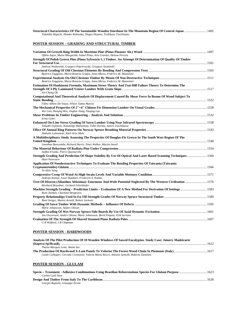| 1492 Structural Characteristics Of The Sustainable Wooden Storehuse In The Mountain Region Of Central Japan  1492 |  |
|-------------------------------------------------------------------------------------------------------------------|--|
| Takahiko Higuchi, Hinako Wakisaka, Shigeo Hoyano, Toshikazu Tsuchimoto                                            |  |
|                                                                                                                   |  |

# **POSTER SESSION – GRADING AND STRUCTURAL TIMBER**

| Ofélia Anjos, Marta Margarido, Isabel Pinto, Arto Usenius, Helena Pereira                                                       |  |
|---------------------------------------------------------------------------------------------------------------------------------|--|
| Strength Of Polish Grown Pine (Pinus Sylvestris L.) Timber. An Attempt Of Determination Of Quality Of Timber                    |  |
|                                                                                                                                 |  |
| Andrzej Noskowiak, Grzegorz Pajchrowski, Grzegorz Szuminski                                                                     |  |
|                                                                                                                                 |  |
| Beatrice Faggiano, Maria Rosaria Grippa, Anna Marzo, Federico M. Mazzolani                                                      |  |
| Beatrice Faggiano, Maria Rosaria Grippa, Anna Marzo, Federico M. Mazzolani                                                      |  |
| Estimation Of Hankinson Formula, Maximum Stress Theory And Tsai-Hill Failure Theory To Determine The                            |  |
| Sei-Chang Oh                                                                                                                    |  |
| Computational And Theoretical Analysis Of Displacement Caused By Shear Force In Beams Of Wood Subject To                        |  |
| Fábio Albino De Souza, Nilson Tadeu Mascia                                                                                      |  |
|                                                                                                                                 |  |
| Wei Guo, Haiqing Ren, Jinghui Jiang, Xiuqing Luo                                                                                |  |
| Ernst Gehri                                                                                                                     |  |
| Takaaki Fujimoto, Kazushige Matsumoto, Yohei Kurata, Satoru Tsuchikawa                                                          |  |
| Nathalie Labonnote, Kjell Arne Malo                                                                                             |  |
| A Multidisciplinary Study Assessing The Properties Of Douglas-Fir Grown In The South West Region Of The                         |  |
|                                                                                                                                 |  |
| Jonathan Bawcombe, Richard Harris, Peter Walker, Martin Ansell                                                                  |  |
|                                                                                                                                 |  |
| Steffen Franke, Pierre Quenneville                                                                                              |  |
| Strength Grading And Prediction Of Shape Stability By Use Of Optical And Laser-Based Scanning Techniques 1560<br>Hans Petersson |  |
| Application Of Nondestructive Techniques To Evaluate The Bending Properties Of Taiwania (Taiwania                               |  |
|                                                                                                                                 |  |
| Te-Hsin Yang                                                                                                                    |  |
| Andreja Kutnar, Lauri Rautkari, Frederick A. Kamke                                                                              |  |
| Reinhard Brandner, Gerhard Schickhofer                                                                                          |  |
| Rune Ziethén, Charlotte Bengtsson                                                                                               |  |
| René Steiger, Martin Arnold, Robert Jockwer                                                                                     |  |
|                                                                                                                                 |  |
| Marie Johansson, Anders Olsson                                                                                                  |  |
| Jan Oscarsson, Anders Olsson, Marie Johansson, Bertil Enquist, Erik Serrano                                                     |  |
|                                                                                                                                 |  |
| G B Walford, J B Chapman                                                                                                        |  |

### **POSTER SESSION - HARDWOODS**

| Analysis Of The Pilot Production Of 10 Wooden Windows Of Sawed Eucalyptus. Study Case: Joinery Madeirarte |  |
|-----------------------------------------------------------------------------------------------------------|--|
|                                                                                                           |  |
| Thaisa Maraues Leite, Akemi Ino                                                                           |  |
|                                                                                                           |  |
| Guido Callegari, Corrado Cremonini, Valeria Marta Rocco, Antonio Spinelli, Roberto Zanuttini              |  |
| <b>POSTER SESSION - GLULAM</b>                                                                            |  |
|                                                                                                           |  |
| Carlito Calil Neto                                                                                        |  |
|                                                                                                           |  |
| Giorgio Bignotti, Giuseppe Zicola                                                                         |  |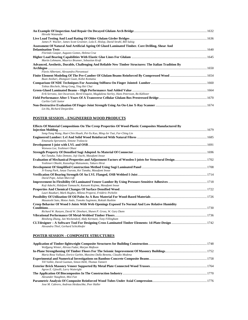| Hiroshi Watanabe                                                                                       |  |
|--------------------------------------------------------------------------------------------------------|--|
|                                                                                                        |  |
| James P. Wacker, James Scott Groenier, Lola E. Hislop, David Strahl, Bill Salsig                       |  |
| Assessment Of Natural And Artificial Ageing Of Glued Laminated Timber. Core Drilling, Shear And        |  |
|                                                                                                        |  |
| Florindo Gaspar, Augusto Gomes, Helena Cruz                                                            |  |
|                                                                                                        |  |
| Martin Lehmann, Maurice Brunner, Sebastian Kraft                                                       |  |
| Advanced, Aesthetic, Durable, Challenging And Reliable New Timber Structures: The Italian Tradition By |  |
|                                                                                                        |  |
| Flavio Albertani, Alessandra Pierantozzi                                                               |  |
| Buan Anshari, Zhongwei Guan, Kohei Komatsu                                                             |  |
| Tobias Biechele, Meng Gong, Ying Hei Chui                                                              |  |
|                                                                                                        |  |
| Erik Serrano, Jan Oscarsson, Bertil Enquist, Magdalena Sterley, Hans Petersson, Bo Källsner            |  |
|                                                                                                        |  |
| Carlito Calil Junior                                                                                   |  |
| Lin Hu, Richard Desjardins                                                                             |  |

# **POSTER SESSION – ENGINEERED WOOD PRODUCTS**

| Effects Of Material Compositions On The Creep Properties Of Wood-Plastic Composites Manufactured By |  |
|-----------------------------------------------------------------------------------------------------|--|
|                                                                                                     |  |
| Song-Yung Wang, Huei-Chin Hsueh, Pei-Yu Kuo, Ming-Jer Tsai, Far-Ching Lin                           |  |
| Emanuela Speranzini, Simone Tralascia                                                               |  |
|                                                                                                     |  |
| Wonwoo Lee, Yoshinori Ohasi                                                                         |  |
| Kei Tanaka, Yuko Demoto, Joji Ouchi, Masafumi Inoue                                                 |  |
| Yoshinori Ohashi, Kazushige Matsumoto, Takuro Hirai                                                 |  |
| Ji-Young Park, Junya Tsuruta, Kei Tanaka, Masafumi Inoue                                            |  |
| David Pope, Julian Marcroft                                                                         |  |
|                                                                                                     |  |
| Koji Adachi, Hidefumi Yamauchi, Katsumi Kojima, Masafumi Inoue                                      |  |
|                                                                                                     |  |
| Lauri Rautkari, Mark Hughes, Milena Properzi, Frédéric Pichelin                                     |  |
| Masatoshi Sato, Motoe Ando, Tomoko Sugimoto, Rokiah Hashim                                          |  |
| Creep Behavior Of Wood I-Joists With Web Openings Exposed To Normal And Low Relative Humidity       |  |
|                                                                                                     |  |
| Richard W. Runyen, David W. Dinehart, Shawn P. Gross, W. Gary Dunn                                  |  |
|                                                                                                     |  |
| Binsheng Zhang, Jan Weckendorf, Abdy Kermani, Tony Fillingham                                       |  |
| Alexandra Thiel, Gerhard Schickhofer                                                                |  |

# **POSTER SESSION - COMPOSITE STRUCTURES**

| Wolfgang Winter, Alireza Fadai, Marjan Maftoon                            |  |
|---------------------------------------------------------------------------|--|
|                                                                           |  |
| Maria Rosa Valluzzi, Enrico Garbin, Massimo Dalla Benetta, Claudio Modena |  |
|                                                                           |  |
| Till Vallée, David Guzman, Simon Hehl, Thomas Tannert                     |  |
| Agron E. Gjinolli, Larry Wainright                                        |  |
|                                                                           |  |
| Alexander Naughton, Mizi Fan                                              |  |
| Jose M. Cabrero, Andreas Heiduschke, Peer Haller                          |  |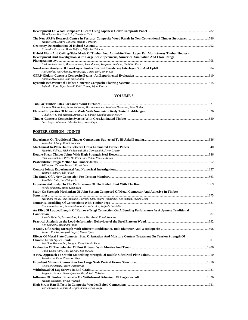| Min-Chyuan Yeh, Yu-Li Lin, Haw-Jang Tsai                                                                   |      |
|------------------------------------------------------------------------------------------------------------|------|
| The New ARPA Research Centre In Ferrara: Composite Wood Panels In Non-Conventional Timber Structures  1786 |      |
| Matteo Cont, Mauro Cantone, Stefano Torresani                                                              |      |
|                                                                                                            |      |
| Krunoslav Pavkovic, Boris Baljkas, Miljenko Haiman                                                         |      |
| Hybrid Wall- And Ceiling-Slabs Made Of Timber And Anhydrite Floor Layer For Multi-Storey Timber Houses -   |      |
| Development And Investigation With Large-Scale Specimens, Numerical Simulation And Close-Range             |      |
|                                                                                                            | 1798 |
| Karl Rautenstrauch, Markus Jahreis, Jens Mueller, Wolfram Haedicke, Christian Dorn                         |      |
|                                                                                                            |      |
| Aleš Kroflic, Igor Planinc, Miran Saje, Goran Turk, Bojan Cas                                              |      |
|                                                                                                            |      |
| Antonio Alves Dias, José Luiz Miotto                                                                       |      |
| Rajendra Rijal, Bijan Samali, Keith Crews, Rijun Shrestha                                                  |      |

#### **VOLUME 3**

| Andreas Heiduschke, Petra Kubowitz, Martin Hamann, Rensteph Thompson, Peer Haller |  |
|-----------------------------------------------------------------------------------|--|
|                                                                                   |  |
| Cláudio H. S. Del Menezzi, Airton M. L. Santos, Geraldo Bortoletto Jr.            |  |
|                                                                                   |  |
| Luís Jorge, Johannes Habenbacher, Bruno Dujic                                     |  |

### **POSTER SESSION - JOINTS**

| Wen-Shao Chang, Kohei Komatsu                                                                            |  |
|----------------------------------------------------------------------------------------------------------|--|
|                                                                                                          |  |
| Maurizio Follesa, Michele Brunetti, Rita Cornacchini, Silvio Grasso                                      |  |
| Carmen Sandhaas, Peter De Vries, Jan-Willem Van De Kuilen                                                |  |
| Till Vallée, Thomas Tannert, Frank Lam                                                                   |  |
| Thomas Tannert, Till Vallée                                                                              |  |
| Tzu-Hsien Shih, Far-Ching Lin                                                                            |  |
| Hiroki Ishiyama, Mikio Koshihara                                                                         |  |
| Study On Strength Mechanism Of Joint System Composed Of Metal Connector And Adhesive In Timber           |  |
| Masafumi Inoue, Risa Tenkumo, Tsuyoshi Sato, Yutaro Nakashiro, Kei Tanaka, Takuro Mori                   |  |
| Francesco Portioli, Renata Marmo, Carla Ceraldi, Raffaele Landolfo                                       |  |
| An Effet Of Lapped Length Of Kanawa-Tsugi Connection On A Bending Performance As A Jpanese Traditional   |  |
| Atsushi Tabuchi, Takuro Mori, Satoru Murakami, Kohei Komatsu                                             |  |
| Ken Kamachi, Masafumi Inoue                                                                              |  |
| Wataru Kambe, Naoyuki Itagaki, Yasuo IIjima                                                              |  |
| Effects Of Metal Plate Connector Size, Orientation And Moisture Content Treatment On Tension Strength Of |  |
| Wei Guo, Benhua Fei, Rongjun Zhao, Haibin Zhou                                                           |  |
| Chun-Young Park, Chul-Ki Kim, Jun-Jae Lee                                                                |  |
|                                                                                                          |  |
| Tinozivashe Zhou, Zhongwei Guan                                                                          |  |
| Felix Scheibmair, Pierre Quenneville                                                                     |  |
|                                                                                                          |  |
| Jørgen L. Jensen, Pierre Quenneville, Makoto Nakatani                                                    |  |
|                                                                                                          |  |
| Makoto Nakatani, Bryan Walford                                                                           |  |
| William Syron, Roberto A. Lopez-Anido, Edwin Nagy                                                        |  |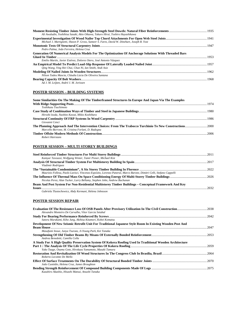| Ali Awaludin, Yoshihisa Sasaki, Akio Oikawa, Takuro Hirai, Toshiro Hayashikawa                         |  |
|--------------------------------------------------------------------------------------------------------|--|
|                                                                                                        |  |
| Michael J. Martignetti, Shawn P. Gross, Sameer S. Fares, David W. Dinehart, Joseph R. Yost             |  |
|                                                                                                        |  |
| Pedro Palma, João Ferreira, Helena Cruz                                                                |  |
| Generation Of Numerical Analysis Models For The Optimization Of Anchorage Solutions With Threaded Bars |  |
|                                                                                                        |  |
| Emilio Martín, Javier Estévez, Dolores Otero, José Antonio Vázquez                                     |  |
|                                                                                                        |  |
| Qing Wang, Ying Hei Chui, Chun Ni, Ian Smith, Andi Asiz                                                |  |
|                                                                                                        |  |
| Nilson Tadeu Mascia, Cláudia Lúcia De Oliveira Santana                                                 |  |
|                                                                                                        |  |
| Ad J. M. Leijten, André J. M. Jorissen                                                                 |  |

#### **POSTER SESSION – BUILDING SYSTEMS**

| Some Similarities On The Making Of The Timberframed Structures In Europe And Japan Via The Examples |  |
|-----------------------------------------------------------------------------------------------------|--|
|                                                                                                     |  |
| Toshikazu Tsuchimoto                                                                                |  |
|                                                                                                     |  |
| Hiroshi Isoda, Naohito Kawai, Mikio Koshihara                                                       |  |
|                                                                                                     |  |
| Giovanni Cenci                                                                                      |  |
|                                                                                                     |  |
| Marcello Borrone, M. Cristina Forlani, D. Radogna                                                   |  |
|                                                                                                     |  |
| <b>Robert Hairstans</b>                                                                             |  |

### **POSTER SESSION – MULTI STOREY BUILDINGS**

| Kamyar Tavoussi, Wolfgang Winter, Tamir Pixner, Michael Kist                                                       |      |
|--------------------------------------------------------------------------------------------------------------------|------|
|                                                                                                                    |      |
| Vladimir Rodríguez                                                                                                 |      |
|                                                                                                                    |      |
| Maurizio Follesa, Paolo Lavisci, Vincenzo Esposito, Lorenzo Panerai, Marco Barone, Dimitri Celli, Stefano Cappelli |      |
|                                                                                                                    |      |
| Nicolas Perez, Alan Tucker, Larry Bellamy, Stephen John, Andrew Buchanan                                           |      |
| Beam And Post System For Non-Residential Multistorey Timber Buildings – Conceptual Framework And Key               |      |
| Issues                                                                                                             | 2032 |
|                                                                                                                    |      |

*Gabriela Tlustochowicz, Abdy Kermani, Helena Johnsson* 

#### **POSTER SESSION REPAIR**

| Alexandre Monteiro De Carvalho, Vítor Garcia Setubal                                                     |      |
|----------------------------------------------------------------------------------------------------------|------|
|                                                                                                          |      |
| Satoru Murakami, Kiho Jung, Akihisa Kitamori, Kohei Komatsu                                              |      |
| Development Of New Seismic Retrofit Unit For Traditional Japanese Style Room In Existing Wooden Post And |      |
|                                                                                                          | 2047 |
| Masafumi Inoue, Junya Tsuruta, Ji-Young Park, Kei Tanaka                                                 |      |
|                                                                                                          |      |
| Andrea Benedetti, Camilla Colla                                                                          |      |
| A Study For A High Quality Preservation System Of Kokera Roofing Used In Traditional Wooden Architecture |      |
|                                                                                                          |      |
| Yuko Taage, Osamu Goto, Hirokazu Yamamoto, Masaki Tamura                                                 |      |
|                                                                                                          |      |
| Roberto Lecomte De Mello                                                                                 |      |
|                                                                                                          |      |
| João Custódio, Helena Cruz, James Broughton                                                              |      |
|                                                                                                          |      |
| Kazuhiro Akashio, Hisashi Matsui, Atsushi Tanaka                                                         |      |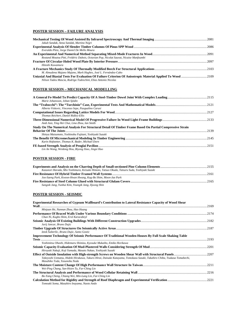### **POSTER SESSION – FAILURE ANALYSIS**

| Jakub Sandak, Anna Sandak, Martino Negri                                                                                                                                      |  |
|-------------------------------------------------------------------------------------------------------------------------------------------------------------------------------|--|
|                                                                                                                                                                               |  |
| Everaldo Pletz, Jorge Daniel De Mello Moura                                                                                                                                   |  |
|                                                                                                                                                                               |  |
| Rostand Moutou Pitti, Frédéric Dubois, Octavian Pop, Nicolat Sauvat, Nicaise Manfoumbi                                                                                        |  |
|                                                                                                                                                                               |  |
| Hitoshi Kuwamura                                                                                                                                                              |  |
|                                                                                                                                                                               |  |
| M. Almudena Majano Majano, Mark Hughes, José L. Fernández-Cabo                                                                                                                |  |
| Uniaxial And Biaxial Tests For Evaluation Of Failure Criterion Of Anisotropic Material Applied To Wood 2109<br>Nilson Tadeu Mascia, Rodrigo Todeschini, Elias Antonio Nicolas |  |

#### **POSTER SESSION – MECHANICAL MODELLING**

| 2151 |
|------|
|      |
|      |

### **POSTER SESSION - FIRE**

| Kazunori Harada, Mio Yoshimura, Keisuke Himoto, Tatsuo Okuda, Tatsuru Suda, Yoshiyuki Suzuki |  |
|----------------------------------------------------------------------------------------------|--|
|                                                                                              |  |
| Joo-Saeng Park, Kweon-Hwan Hwang, Kug-Bo Shim, Moon-Jae Park                                 |  |
|                                                                                              |  |
| Sangsik Jang, Yunhui Kim, Youngik Jang, Iljoong Shin                                         |  |

#### **POSTER SESSION - SEISMIC**

| Experimental Researches of Gypsum Wallboard's Contribution to Lateral Resistance Capacity of Wood Shear                                                 |       |
|---------------------------------------------------------------------------------------------------------------------------------------------------------|-------|
| Minjuan He, Nannan Zhou, Hao Huang                                                                                                                      |       |
| Chun Ni, Kugbo Shim, Erol Karacabeyl                                                                                                                    |       |
| Jurij Jancar, Bruno Dujic                                                                                                                               | .2182 |
| Iztok Šušteršic, Bruno Dujic, Samo Gostic                                                                                                               |       |
| <b>Improvement Technology Of Seismic Performance Of Traditional Wooden Houses By Full Scale Shaking Table</b>                                           | .2193 |
| Yoshimitsu Ohashi, Hidemaru Shimizu, Kyosuke Mukaibo, Emiko Horikawa                                                                                    |       |
| Hirovuki Nakaji, Koji Yamada, Masato Nakao, Yoshiyuki Suzuki                                                                                            |       |
| Takeyoshi Uematsu, Hideki Hirakawa, Takuro Hirai, Daisuke Katayama, Tomokazu Sasaki, Takahiro Chiba, Tsukasa Tomabechi,<br>Masahiko Toda, Yasunobu Noda |       |
| Wei-Ping Chang, San-Hsien Tu, Far-Ching Lin                                                                                                             |       |
| Bo-Yang Cheng, Chiang Wei, Min-Lang Lin, Far-Ching Lin                                                                                                  |       |
| Tomoaki Soma, Masahiro Inayama, Naoto Ando                                                                                                              | .2221 |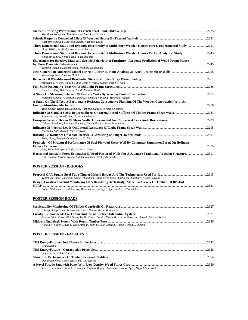| Yoshihiro Kobayashi, Ken Kamachi, Masahiro Inayama                                                                                                                            |  |
|-------------------------------------------------------------------------------------------------------------------------------------------------------------------------------|--|
| Kazuhiro Matsuda, Hiroyasu Sakata, Kazuhiko Kasai<br>Three Dimensional Static and Dynamic Eccentricity of Multi-story Wooden Houses Part 1. Experimental Study2237            |  |
| Shinji Hikita, Kenji Miyazawa, Yasutaka Irie                                                                                                                                  |  |
| Kenji Miyazawa, Kento Suzuki, Yasutaka Irie                                                                                                                                   |  |
| Experiment for Effective Mass and Seismic Behaviour of Furniture - Response Prediction of Wood-Frame House                                                                    |  |
| Tomoya Okazaki, Hiroshi Isoda, Yoshiaki Wakashima                                                                                                                             |  |
| Weichiang Pang, Masood H. Shirazi                                                                                                                                             |  |
| Jebediah S. Wilson, Rakesh Gupta, John W. Van De Lindt, Daniel T. Cox                                                                                                         |  |
|                                                                                                                                                                               |  |
| Andi Asiz, Ying Hei Chui, Ian Smith, Michael Bartlett                                                                                                                         |  |
| Haruhiko Ogawa, Ayumu Mitsuhashi, Hisamitsu Kajikawa, Hiroyuki Noguchi                                                                                                        |  |
| A Study On The Effective Earthquake-Resistant Constructive Planning Of The Wooden Construction With An                                                                        |  |
| Yuka Okada, Hisamitsu Kajikawa, Haruhiko Ogawa, Hiroyuki Noguchi                                                                                                              |  |
| Johan Vessby, Bo Källsner, Ulf Arne Girhammar                                                                                                                                 |  |
|                                                                                                                                                                               |  |
| Clément Boudaud, Stéphane Hameury, Carole Faye, Laurent Daudeville                                                                                                            |  |
| Alexander Salenikovich, Mario Payeur                                                                                                                                          |  |
| Meng Gong, Stephen Delahunty, Y. H. Chui                                                                                                                                      |  |
| Prediction Of Structural Performance Of Sugi Plywood Shear Wall By Computer Simulation Based On Hoffman                                                                       |  |
| Ping Yang, Motoyoshi Ikeda, Yoshiyuki Suzuki                                                                                                                                  |  |
| Horizontal Resistant Force Estimation Of Mud Plastered Walls For A Japanese Traditional Wooden Structure 2311<br>Koji Yamada, Masato Nakao, Yutaka Yamazaki, Yoshiyuki Suzuki |  |
| <b>POSTER SESSION - BRIDGES</b>                                                                                                                                               |  |
|                                                                                                                                                                               |  |
| Tomohiro Chida, Takanobu Sasaki, Humihiko Gotou, Seizo Usuki, Yoshinori Shinohara, Atsushi Toyoda                                                                             |  |
| Design, Construction And Monitoring Of A Bowstring Arch Bridge Made Exclusively Of Timber, CFRP And                                                                           |  |
| Robert Widmann, Urs Meier, Rolf Brönnimann, Philipp Irniger, Andreas Winistörfer                                                                                              |  |
|                                                                                                                                                                               |  |
| <b>POSTER SESSION ROADS</b>                                                                                                                                                   |  |
|                                                                                                                                                                               |  |
| Rihong Zhang, Takao Nakazawa, Yutaka Ilmura, Kazuo Kanemaru                                                                                                                   |  |
| Sandro Fábio César, Rita Dione Araújo Cunha, Sandra Neusa Marchesini Ferreira, Mariella Mendes Revilla                                                                        |  |
|                                                                                                                                                                               |  |
| Ronald K. Faller, David E. Kretschmann, John D. Reid, Jason A. Hascall, Dean L. Sicking                                                                                       |  |
| <b>POSTER SESSION - FACADES</b>                                                                                                                                               |  |
| Frank Lattke                                                                                                                                                                  |  |
|                                                                                                                                                                               |  |
| Stephan Ott, Stefan Winter                                                                                                                                                    |  |
| David Crawford, Robert Hairstans, Ivor Davies                                                                                                                                 |  |
|                                                                                                                                                                               |  |

*José L. Fernández-Cabo, M. Almudena Majano Majano, Luis San-Salvador Ageo, Miguel Ávila Nieto*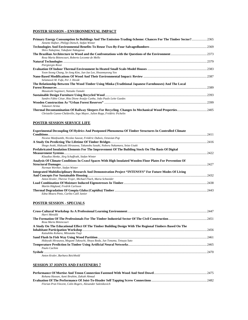#### **POSTER SESSION – ENVIRONMENTAL IMPACT**

| Primary Energy Consumption In Buildings And The Emission-Trading-Scheme: Chances For The Timber Sector?2365<br>Annette Hafner, Philipp Dietsch, Stefan Winter |       |
|---------------------------------------------------------------------------------------------------------------------------------------------------------------|-------|
| Shiro Nakajima, Takafumi Nakagawa                                                                                                                             |       |
| Rosa Maria Bittencourt, Roberto Lecomte de Mello                                                                                                              |       |
| Piergiorgio Rossi                                                                                                                                             | .2379 |
| Yoon-Seong Chang, Se-Jong Kim, Jun-Jae Lee, Hwanmyeong Yeo                                                                                                    |       |
| Selamawit M. Fufa, Per J. Hovde                                                                                                                               |       |
| The Relationship Between The Wood Timber Using Minka (Traditional Japanese Farmhouses) And The Local<br>Masatoshi Sugimori, Natsuko Tamaki                    | .2389 |
| Sandro Fábio César, Rita Dione Araújo Cunha, João Paulo Leite Guedes                                                                                          |       |
| Takanori Arima                                                                                                                                                |       |
| Christelle Ganne-Chédeville, Ingo Mayer, Julien Ropp, Frédéric Pichelin                                                                                       |       |

#### **POSTER SESSION SERVICE LIFE**

| <b>Experimental Decoupling Of Hydrics And Postponed Phenomena Of Timber Structures In Controlled Climate</b> |        |
|--------------------------------------------------------------------------------------------------------------|--------|
|                                                                                                              | .2411  |
| Nicaise Manfoumbi, Nicolas Sauvat, Frédéric Dubois, Octavian Pop                                             |        |
|                                                                                                              |        |
| Shogo Araki, Hideyuki Hirasawa, Takanobu Sasaki, Noboru Nakamura, Seizo Usuki                                |        |
| Prefabricated Insulation Elements For The Improvement Of The Building Stock On The Basis Of Digital          |        |
|                                                                                                              | 2422   |
| Klaudius Henke, Jörg Schaffrath, Stefan Winter                                                               |        |
| Analysis Of Climate Conditions In Crawl Spaces With High Insulated Wooden Floor Plates For Prevention Of     |        |
|                                                                                                              | 2427   |
| Norman Werther, Stefan Winter                                                                                |        |
| Integrated Multidisciplinary Research And Demonstration Project "INTENSYS" For Future Modes Of Living        |        |
|                                                                                                              | 2432   |
| Anton Kraler, Therese Trojer, Michael Flach, Maria Schneider                                                 |        |
|                                                                                                              | . 2438 |
| Martin Häglund, Fredrik Carlsson                                                                             |        |
|                                                                                                              |        |
| Edna Moura Pinto, Carlito Calil Junior                                                                       |        |

#### **POSTER SESSION - SPECIALS**

| Harri Metsälä                                                                                          |  |
|--------------------------------------------------------------------------------------------------------|--|
|                                                                                                        |  |
| Rosa Maria Bittencourt                                                                                 |  |
| A Study On The Educational Effect Of The Timber Building Design With The Regional Timbers Based On The |  |
|                                                                                                        |  |
| Katsuhiko Kohara, Mitsutaka Tsuji                                                                      |  |
|                                                                                                        |  |
| Hidevuki Hirasawa, Megumi Takeuchi, Shoya Ikeda, Jun Tonuma, Tetsuya Sato                              |  |
|                                                                                                        |  |
| Paulo Cachim                                                                                           |  |
|                                                                                                        |  |
| Anton Kraler, Barbara Reichhold                                                                        |  |

#### *Anton Kraler, Barbara Reichhold*

#### **SESSION 37 JOINTS AND FASTENERS 7**

| Rohana Hassan, Azmi Ibrahim, Zakiah Ahmad                  |  |
|------------------------------------------------------------|--|
|                                                            |  |
| Florian Prat-Vincent, Colin Rogers, Alexander Salenikovich |  |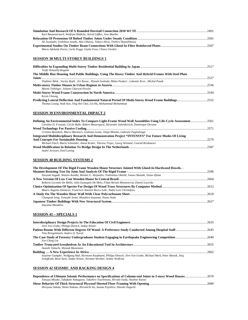| Karl Rautenstrauch, Wolfram Hädicke, Astrid Löffler, Jens Mueller              |  |
|--------------------------------------------------------------------------------|--|
|                                                                                |  |
| Ali Awaludin, Yoshihisa Sasaki, Akio Oikawa, Takuro Hirai, Toshiro Hayashikawa |  |
|                                                                                |  |
| Maria Adelaide Parisi, Carlo Poggi, Giulia Fava, Chiara Tardini                |  |

#### **SESSION 38 MULTI-STOREY BUILDINGS 1**

| Tzofit Shmuelly-Kagami                                                                                  |      |
|---------------------------------------------------------------------------------------------------------|------|
| The Middle Rise Housing And Public Buildings, Using The Heavy Timber And Hybrid Frames With Steel Plate |      |
|                                                                                                         | 2527 |
| Vladimir Bilek, Vaclav Rojik, Jiri Karas, Zbynek Svoboda, Milan Peukert, Lubomir Krov, Michal Panek     |      |
|                                                                                                         | 2536 |
| Martin Teibinger, Johann Charwat-Pessler                                                                |      |
|                                                                                                         | 2544 |
| Kevin Cheung                                                                                            |      |
|                                                                                                         |      |
| Thomas Leung, Andi Asiz, Ying Hei Chui, Lin Hu, Mohammad Mohammad                                       |      |

### **SESSION 39 ENVIRONMENTAL IMPACT 2**

| Defining An Environmental Index To Compare Light-Frame Wood Wall Assemblies Using Life-Cycle Assessment2561 |      |
|-------------------------------------------------------------------------------------------------------------|------|
| Caroline D. Frenette, Cécile Bulle, Robert Beauregard, Alexander Salenikovich, Dominique Derome             |      |
|                                                                                                             |      |
| Cristina Benedetti, Marco Baratieri, Giuliana Leone, Tanja Mimmo, Gabriele Paglialonga                      |      |
| Integrated Multidisciplinary Research And Demonstration Project "INTENSYS" For Future Modes Of Living       |      |
|                                                                                                             | 2579 |
| Michael Flach, Maria Schneider, Anton Kraler, Therese Trojer, Georg Wieland, Conrad Brinkmeier              |      |
|                                                                                                             |      |

#### **SESSION 40 BUILDING SYSTEMS 2**

| The Development Of The Rigid Frame Wooden House Structure Jointed With Glued-In Hardwood Dowels. -  |  |
|-----------------------------------------------------------------------------------------------------|--|
|                                                                                                     |  |
| Naoyuki Itagaki, Wataru Kambe, Benitez G. Alejandro, Yoshimitsu Ohashi, Yasuo Okazaki, Yasuo IIjima |  |
|                                                                                                     |  |
| Roberto Lecomte De Mello, Julio Eustaguio De Melo, Filipe Berutti Monteserrat, Daniel Lacerda       |  |
|                                                                                                     |  |
| Mauro Augusto Demarzo, Francisco Antonio Rocco Lahr, André Luis Christóforo                         |  |
|                                                                                                     |  |
| Changsuk Song, Tomoaki Soma, Masahiro Inayama, Naoto Ando                                           |  |
|                                                                                                     |  |

*Inayama Masahiro* 

#### **SESSION 41 – SPECIALS 1**

| Jörn Von Grabe, Philipp Dietsch, Stefan Winter                                                                     |  |
|--------------------------------------------------------------------------------------------------------------------|--|
|                                                                                                                    |  |
| Tina Bringslimark, Anders O. Nyrud                                                                                 |  |
|                                                                                                                    |  |
| Far-Ching Lin                                                                                                      |  |
|                                                                                                                    |  |
| Atsushi Tabuchi, Shinsak Munemoto                                                                                  |  |
|                                                                                                                    |  |
| Susanne Gampfer, Wolfgang Hub, Hermann Kaufmann, Philipp Dietsch, Jörn Von Grabe, Michael Merk, Peter Mestek, Jörg |  |

*Schaffrath, René Stein, Stefan Winter, Norman Werhter, Arthur Wolfrum* 

#### **SESSION 42 SEISMIC AND RACKING DESIGN 4**

| Dependence of Ultimate Seismic Performance on Specifications of Column-end Joints in 3-story Wood Houses2670 |  |
|--------------------------------------------------------------------------------------------------------------|--|
| Tatsuya Miyake, Takafumi Nakagawa, Takahiro Tsuchimoto, Hiroshi Isoda, Naohito Kawai                         |  |
|                                                                                                              |  |
| Hiroyasu Sakata, Shota Nakano, Hiromichi Ito, Azuma Fujishiro, Hitoshi Ooguchi                               |  |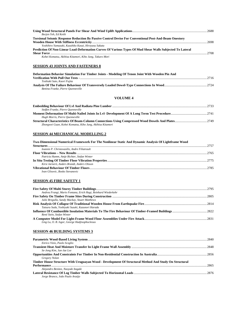| Borien Yeh, Ed Keith                                                                                          |      |
|---------------------------------------------------------------------------------------------------------------|------|
| <b>Torsional Seismic Response Reduction By Passive Control Devise For Conventional Post-And-Beam Onestory</b> | 2698 |
| Yoshihiro Yamazaki, Kazuhiko Kasai, Hiroyasu Sakata                                                           |      |
| Prediction Of Non-Linear Load-Deformation Curves Of Various Types Of Mud Shear Walls Subjected To Lateral     | 2708 |
| Kohei Komatsu, Akihisa Kitamori, Kiho Jung, Takuro Mori                                                       |      |

#### **SESSION 43 JOINTS AND FASTENERS 8**

| Deformation Behavior Simulation For Timber Joints - Modeling Of Tenon Joint With Wooden Pin And |       |
|-------------------------------------------------------------------------------------------------|-------|
|                                                                                                 | -2716 |
| Toshiaki Sato, Kaori Fujita                                                                     |       |
|                                                                                                 |       |
| Bettina Franke, Pierre Ouenneville                                                              |       |

#### **VOLUME 4**

| Steffen Franke, Pierre Ouenneville                        |  |
|-----------------------------------------------------------|--|
|                                                           |  |
| Hugh Morris, Pierre Quenneville                           |  |
|                                                           |  |
| Zhongwei Guan, Kohei Komatsu, Kiho Jung, Akihisa Kitamori |  |

# **SESSION 44 MECHANICAL MODELLING 2**

| Two-Dimensional Numerical Framework For The Nonlinear Static And Dynamic Analysis Of Lightframe Wood |      |
|------------------------------------------------------------------------------------------------------|------|
|                                                                                                      | 2757 |
| Ioannis P. Christovasilis. Andre Filiatrault                                                         |      |
|                                                                                                      | 2765 |
| Patricia Hamm, Antje Richter, Stefan Winter                                                          |      |
|                                                                                                      |      |
| Kirsi Jarnerö, Anders Brandt, Anders Olsson                                                          |      |
|                                                                                                      |      |
| Ivan Glisovic, Bosko Stevanovic                                                                      |      |
|                                                                                                      |      |

### **SESSION 45 FIRE SAFETY 1**

| Andrea Frangi, Mario Fontana, Erich Hugi, Reinhard Wiederkehr |  |
|---------------------------------------------------------------|--|
|                                                               |  |
| Julie Bregulla, Sandy Mackay, Stuart Matthews                 |  |
|                                                               |  |
| Tatsuru Suda, Yoshiyuki Suzuki, Kazunori Harada               |  |
|                                                               |  |
| René Stein, Stefan Winter                                     |  |
|                                                               |  |
| Ling Lu, O. B. Isgor, George Hadjisophocleous                 |  |

#### **SESSION 46 BUILDING SYSTEMS 3**

|                                                                                                       | -2840  |
|-------------------------------------------------------------------------------------------------------|--------|
| Enrico Vizio, Paolo Scoglio                                                                           |        |
|                                                                                                       |        |
| Se-Jong Kim, Jun-Jae Lee                                                                              |        |
|                                                                                                       | - 2856 |
| Gregory Nolan                                                                                         |        |
| Timber House Structure With Uruguayan Wood - Development Of Structural Method And Study On Structural |        |
|                                                                                                       | 2865   |
| Alejandro Benitez, Naoyuki Itagaki                                                                    |        |
|                                                                                                       | 2876   |
| Jorge Branco, João Paulo Araújo                                                                       |        |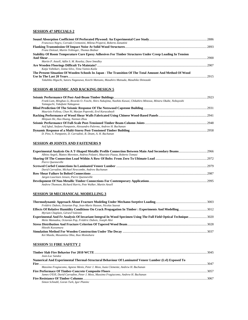#### **SESSION 47 SPECIALS 2**

| Francesco Negro, Corrado Cremonini, Milena Properzi, Roberto Zanuttini                                   |        |
|----------------------------------------------------------------------------------------------------------|--------|
| Franz Dolezal, Martin Teibinger, Thomas Bednar                                                           |        |
| Stability Of Room Temperature Cure Epoxy Adhesives For Timber Structures Under Creep Loading In Tension  |        |
|                                                                                                          |        |
| Martin P. Ansell, Adlin S. M. Roseley, Dave Smedley                                                      |        |
|                                                                                                          |        |
| Katja Vahtikari, Jonna Silvo, Tiina Vainio-Kaila                                                         |        |
| The Present Situation Of Wooden Schools In Japan - The Transition Of The Total Amount And Method Of Wood |        |
|                                                                                                          | - 2915 |
| Takahiko Higuchi, Satoru Nagasawa, Koichi Matsuno, Masahiro Matsuda, Masahiko Shinozaki                  |        |

#### **SESSION 48 SEISMIC AND RACKING DESIGN 5**

| Frank Lam, Minghao Li, Ricardo O. Foschi, Shiro Nakajima, Naohito Kawai, Chikahiro Minowa, Minoru Okabe, Nobuyoshi |  |
|--------------------------------------------------------------------------------------------------------------------|--|
| Yamaguchi, Takafumi Nakagawa                                                                                       |  |
|                                                                                                                    |  |
| Maurizio Follesa, Chun Ni, Marjan Popovski, Erol Karacabeyli                                                       |  |
|                                                                                                                    |  |
| Minjuan He, Hao Huang, Nannan Zhou                                                                                 |  |
|                                                                                                                    |  |
| Asif Igbal, Stefano Pampanin, Alessandro Palermo, Andrew H. Buchanan                                               |  |
|                                                                                                                    |  |
| D. Pino, S. Pampanin, D. Carradine, B. Deam, A. H. Buchanan                                                        |  |

#### **SESSION 49 JOINTS AND FASTENERS 9**

| Albino Angeli, Matteo Moretton, Andrea Polastri, Maurizio Piazza, Roberto Tomasi |  |
|----------------------------------------------------------------------------------|--|
|                                                                                  |  |
| Pierre Quenneville                                                               |  |
|                                                                                  |  |
| David Carradine, Michael Newcombe, Andrew Buchanan                               |  |
|                                                                                  |  |
| Jørgen Lauritzen Jensen, Pierre Ouenneville                                      |  |
|                                                                                  |  |
| Andrew Thomson, Richard Harris, Pete Walker, Martin Ansell                       |  |

# **SESSION 50 MECHANICAL MODELLING 3**

| Frédéric Dubois, Octavian Pop, Jean-Marie Husson, Nicolas Sauvat                                               |  |
|----------------------------------------------------------------------------------------------------------------|--|
|                                                                                                                |  |
| Myriam Chaplain, Gérard Valentin                                                                               |  |
| Experimental And Fe Analysis Of Invariant Integral In Wood Specimen Using The Full Field Optical Technique3020 |  |
| Meite Mamadou, Octavian Pop, Frédéric Dubois, Joseph Absi                                                      |  |
|                                                                                                                |  |
| Hitoshi Kuwamura                                                                                               |  |
|                                                                                                                |  |
| Kei Maeda, Masamitsu Ohta, Ikuo Momohara                                                                       |  |

#### **SESSION 51 FIRE SAFETY 2**

| Jean-Luc Sandoz                                                                                     |  |
|-----------------------------------------------------------------------------------------------------|--|
| Numerical And Experimental Thermal-Structural Behaviour Of Laminated Veneer Lumber (Lyl) Exposed To |  |
|                                                                                                     |  |
| Massimo Fragiacomo, Agnese Menis, Peter J. Moss, Isaia Clemente, Andrew H. Buchanan                 |  |
|                                                                                                     |  |
| James O'Eill, David Carradine, Peter J. Moss, Massimo Fragiacomo, Andrew H. Buchanan                |  |
|                                                                                                     |  |
| Simon Schnabl, Goran Turk, Igor Planinc                                                             |  |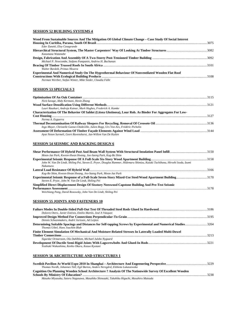### **SESSION 52 BUILDING SYSTEMS 4**

### **SESSION 53 SPECIALS 3**

| Nick Savage, Abdy Kermani, Hexin Zhang                                                                     |  |
|------------------------------------------------------------------------------------------------------------|--|
|                                                                                                            |  |
| Lauri Rautkari, Andreja Kutnar, Mark Hughes, Frederick A. Kamke                                            |  |
| Characterization Of The Behavior Of Sablot (Litsea Glutinosa), Lour Rob. As Binder For Aggregates For Low- |  |
|                                                                                                            |  |
| Norma A. Esguerra                                                                                          |  |
|                                                                                                            |  |
| Ingo Mayer, Christelle Ganne-Chédeville, Julien Ropp, Urs Von Arx, Frédéric Pichelin                       |  |
|                                                                                                            |  |
| Ayse Nesen Surmeli, Geert Ravenshorst, Jan-Willem Van De Kuilen                                            |  |

#### **SESSION 54 SEISMIC AND RACKING DESIGN 6**

| Moon-Jae Park, Kweon-Hwan Hwang, Joo-Saeng Park, Kug-Bo Shim                                                                 |      |
|------------------------------------------------------------------------------------------------------------------------------|------|
|                                                                                                                              |      |
| John W. Van De Lindt, Shiling Pei, Steven E. Pryor, Douglas Rammer, Hidemaru Shimizu, Kazuki Tachibana, Hiroshi Isoda, Izumi |      |
| Nakamura                                                                                                                     |      |
|                                                                                                                              |      |
| Kug-Bo Shim, Kweon-Hwan Hwang, Joo-Saeng Park, Moon-Jae Park                                                                 |      |
|                                                                                                                              |      |
| Steven E. Pryor, John W. Van De Lindt, Shiling Pei                                                                           |      |
| Simplified Direct Displacement Design Of Sixstory Neeswood Capstone Building And Pre-Test Seismic                            |      |
|                                                                                                                              | 3178 |
| Weichiang Pang, David Rosowsky, John Van De Lindt, Shiling Pei                                                               |      |

#### **SESSION 55 JOINTS AND FASTENERS 10**

| Dolores Otero, Javier Estévez, Emilio Martín, José A Vázquez                                                  |  |
|---------------------------------------------------------------------------------------------------------------|--|
|                                                                                                               |  |
| Dennis Schoenmakers, André Jorissen, Ad Leijten                                                               |  |
| Determining Suitable Spacings and Distances for Self-tapping Screws by Experimental and Numerical Studies3204 |  |
| Thomas Uibel, Hans Joachim Blab                                                                               |  |
| Finite Element Simulation Of Mechanical And Moisture-Related Stresses In Laterally Loaded Multi-Dowel         |  |
|                                                                                                               |  |
| Sigurdur Ormarsson, Ola Dahlblom, Michael Julsbo Nygaard                                                      |  |
|                                                                                                               |  |
| Yoshiaki Wakashima, Kenho Okura, Kazuo Kyotani                                                                |  |

#### **SESSION 56 ARCHITECTURE AND STRUCTURES 1**

| Thomas Nordh, Johannes Tüll, Egil Bartos, Anders Neregård, Elzbieta Lukaszewska                         |  |
|---------------------------------------------------------------------------------------------------------|--|
| Cognition On Planning Wooden School Architecture? Analysis Of The Nationwide Survey Of Excellent Wooden |  |
|                                                                                                         |  |
| Masako Miyasaka, Satoru Nagasawa, Masahiko Shinozaki, Takahiko Higuchi, Masahiro Matsuda                |  |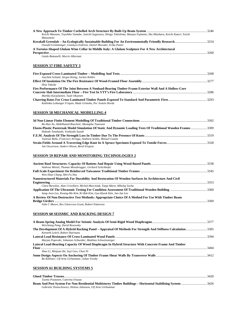| Koichi Matsuno, Toyohiko Yamabe, Junichi Sugawara, Shingo Takishima, Masaya Fujimoto, Shu Mizuhara, Keichi Katori, Yoichi |      |
|---------------------------------------------------------------------------------------------------------------------------|------|
| <i>Matsumoto</i>                                                                                                          |      |
|                                                                                                                           |      |
| Oswald Grömminger, Gianluca Endrizzi, Daniel Moroder, Erika Putzer                                                        |      |
| A Tortoise-Shaped Glulam Wine Cellar In Middle Italy: A Glulam Sculpture For A New Architectural                          |      |
|                                                                                                                           | 3260 |
| Guido Bottanelli, Morris Albertani                                                                                        |      |
|                                                                                                                           |      |

#### **SESSION 57 FIRE SAFETY 3**

| Joachim Schmid, Jürgen König, Jochen Köhler                                                          |  |
|------------------------------------------------------------------------------------------------------|--|
|                                                                                                      |  |
| Hisa Takeda                                                                                          |  |
| Fire Performance Of The Joint Between A Nonload-Bearing Timber-Frame Exterior Wall And A Hollow-Core |  |
|                                                                                                      |  |
| Markku Karjalainen, Tuuli Oksanen                                                                    |  |
| Kathinka Leikanger Friquin, Mads Grimsbu, Per Jostein Hovde                                          |  |

#### **SESSION 58 MECHANICAL MODELLING 4**

| Bo-Han Xu, Abdelhamid Bouchaïr, Mustapha Taazount                                                              |  |
|----------------------------------------------------------------------------------------------------------------|--|
| Elasto-Plastic Pasternak Model Simulation Of Static And Dynamic Loading Tests Of Traditional Wooden Frames3309 |  |
| Hideaki Tanahashi, Yoshiyuki Suzuki                                                                            |  |
|                                                                                                                |  |
| Vanessa Baño, Francisco Arriaga, Azahara Soilán, Manuel Guaita                                                 |  |
|                                                                                                                |  |
| Jan Oscarsson, Anders Olsson, Bertil Enquist                                                                   |  |

### **SESSION 59 REPAIR AND MONITORING TECHNOLOGIES 2**

| -3369 |
|-------|
|       |

*John C Moore, Rex Glencross-Grant, Robert Patterson* 

### **SESSION 60 SEISMIC AND RACKING DESIGN 7**

| Weichiang Pang, David Rosowsky                                                                                                                   |  |
|--------------------------------------------------------------------------------------------------------------------------------------------------|--|
| The Development Of A Hybrid Racking Panel – Appraisal Of Methods For Strength And Stiffness Calculation 3385<br>Kenneth Leitch, Robert Hairstans |  |
| Marjan Popovski, Johannes Schneider, Matthias Schweinsteiger                                                                                     |  |
| Lateral Load-Beariing Capacity Of Wood Diaphragm In Hybrid Structure With Concrete Frame And Timber                                              |  |
| <b>Floor</b><br>Shuo Li, Minjuan He, Suvi Guo, Chun Ni                                                                                           |  |
|                                                                                                                                                  |  |
| Bo Källsner, Ulf Arne Girhammar, Johan Vessby                                                                                                    |  |

#### **SESSION 61 BUILDING SYSTEMS 5**

|                                                             | 3420 |
|-------------------------------------------------------------|------|
| Tuomo Poutanen. Caterina Ovazza                             |      |
|                                                             |      |
| Gabriela Tlustochowicz, Helena Johnsson, Ulf Arne Girhammar |      |